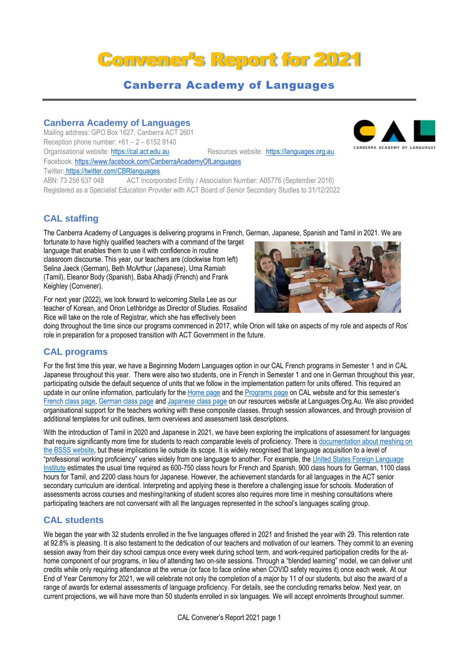# Convener's Report for 2021

# Canberra Academy of Languages

#### **Canberra Academy of Languages**

Mailing address: GPO Box 1627, Canberra ACT 2601 Reception phone number:  $+61 - 2 - 61529140$ Organisational website: [https://cal.act.edu.au](https://cal.act.edu.au/) Resources website: [https://languages.org.au](https://languages.org.au/) Facebook: https://www.facebook.com/CanberraAcademyOfLanguages Twitter: https://twitter.com/CBRlanguages

ABN: 73 256 637 048 ACT Incorporated Entity / Association Number: A05776 (September 2016) Registered as a Specialist Education Provider with ACT Board of Senior Secondary Studies to 31/12/2022

## **CAL staffing**

The Canberra Academy of Languages is delivering programs in French, German, Japanese, Spanish and Tamil in 2021. We are

fortunate to have highly qualified teachers with a command of the target language that enables them to use it with confidence in routine classroom discourse. This year, our teachers are (clockwise from left) Selina Jaeck (German), Beth McArthur (Japanese), Uma Ramiah (Tamil), Eleanor Body (Spanish), Baba Alhadji (French) and Frank Keighley (Convener).

For next year (2022), we look forward to welcoming Stella Lee as our teacher of Korean, and Orion Lethbridge as Director of Studies. Rosalind Rice will take on the role of Registrar, which she has effectively been

doing throughout the time since our programs commenced in 2017, while Orion will take on aspects of my role and aspects of Ros' role in preparation for a proposed transition with ACT Government in the future.

### **CAL programs**

For the first time this year, we have a Beginning Modern Languages option in our CAL French programs in Semester 1 and in CAL Japanese throughout this year. There were also two students, one in French in Semester 1 and one in German throughout this year, participating outside the default sequence of units that we follow in the implementation pattern for units offered. This required an update in our online information, particularly for th[e Home page](https://cal.act.edu.au/index.htm) and the [Programs page](https://cal.act.edu.au/programs.htm) on CAL website and for this semester's [French class page,](https://languages.org.au/french/cal-french-2021-S1.htm) [German class page](https://languages.org.au/german/cal-german-2021-S1.htm) an[d Japanese class page](https://languages.org.au/japanese/cal-japanese-2021-S1.htm) on our resources website at Languages.Org.Au. We also provided organisational support for the teachers working with these composite classes, through session allowances, and through provision of additional templates for unit outlines, term overviews and assessment task descriptions.

With the introduction of Tamil in 2020 and Japanese in 2021, we have been exploring the implications of assessment for languages that require significantly more time for students to reach comparable levels of proficiency. There is [documentation about meshing on](http://www.bsss.act.edu.au/information_for_teachers/meshing)  [the BSSS website,](http://www.bsss.act.edu.au/information_for_teachers/meshing) but these implications lie outside its scope. It is widely recognised that language acquisition to a level of "professional working proficiency" varies widely from one language to another. For example, the [United States Foreign Language](https://www.state.gov/foreign-language-training/)  [Institute](https://www.state.gov/foreign-language-training/) estimates the usual time required as 600-750 class hours for French and Spanish, 900 class hours for German, 1100 class hours for Tamil, and 2200 class hours for Japanese. However, the achievement standards for all languages in the ACT senior secondary curriculum are identical. Interpreting and applying these is therefore a challenging issue for schools. Moderation of assessments across courses and meshing/ranking of student scores also requires more time in meshing consultations where participating teachers are not conversant with all the languages represented in the school's languages scaling group.

### **CAL students**

We began the year with 32 students enrolled in the five languages offered in 2021 and finished the year with 29. This retention rate at 92.8% is pleasing. It is also testament to the dedication of our teachers and motivation of our learners. They commit to an evening session away from their day school campus once every week during school term, and work-required participation credits for the athome component of our programs, in lieu of attending two on-site sessions. Through a "blended learning" model, we can deliver unit credits while only requiring attendance at the venue (or face to face online when COVID safety requires it) once each week. At our End of Year Ceremony for 2021, we will celebrate not only the completion of a major by 11 of our students, but also the award of a range of awards for external assessments of language proficiency. For details, see the concluding remarks below. Next year, on current projections, we will have more than 50 students enrolled in six languages. We will accept enrolments throughout summer.



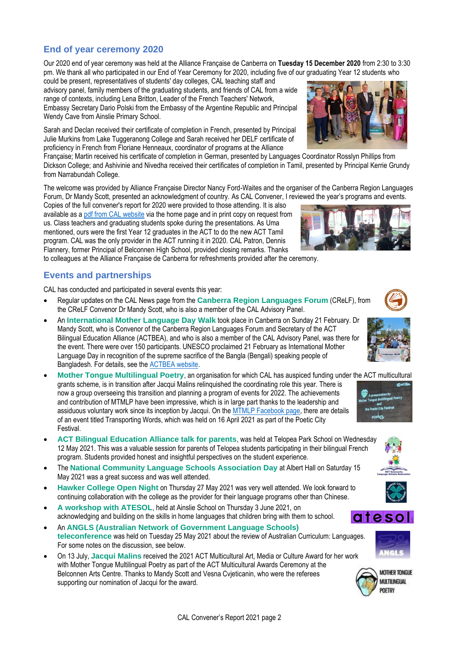#### **End of year ceremony 2020**

Our 2020 end of year ceremony was held at the Alliance Française de Canberra on **Tuesday 15 December 2020** from 2:30 to 3:30 pm. We thank all who participated in our End of Year Ceremony for 2020, including five of our graduating Year 12 students who

could be present, representatives of students' day colleges, CAL teaching staff and advisory panel, family members of the graduating students, and friends of CAL from a wide range of contexts, including Lena Britton, Leader of the French Teachers' Network, Embassy Secretary Dario Polski from the Embassy of the Argentine Republic and Principal Wendy Cave from Ainslie Primary School.

Sarah and Declan received their certificate of completion in French, presented by Principal Julie Murkins from Lake Tuggeranong College and Sarah received her DELF certificate of proficiency in French from Floriane Henneaux, coordinator of programs at the Alliance

Française; Martin received his certificate of completion in German, presented by Languages Coordinator Rosslyn Phillips from Dickson College; and Ashivinie and Nivedha received their certificates of completion in Tamil, presented by Principal Kerrie Grundy from Narrabundah College.

The welcome was provided by Alliance Française Director Nancy Ford-Waites and the organiser of the Canberra Region Languages Forum, Dr Mandy Scott, presented an acknowledgment of country. As CAL Convener, I reviewed the year's programs and events.

Copies of the full convener's report for 2020 were provided to those attending. It is also available as a [pdf from CAL website](https://cal.act.edu.au/docs/Convener_Report_CAL_2020.pdf) via the home page and in print copy on request from us. Class teachers and graduating students spoke during the presentations. As Uma mentioned, ours were the first Year 12 graduates in the ACT to do the new ACT Tamil program. CAL was the only provider in the ACT running it in 2020. CAL Patron, Dennis Flannery, former Principal of Belconnen High School, provided closing remarks. Thanks

to colleagues at the Alliance Française de Canberra for refreshments provided after the ceremony.

#### **Events and partnerships**

Festival.

CAL has conducted and participated in several events this year:

- Regular updates on the CAL News page from the **Canberra Region Languages Forum** (CReLF), from the CReLF Convenor Dr Mandy Scott, who is also a member of the CAL Advisory Panel.
- An **International Mother Language Day Walk** took place in Canberra on Sunday 21 February. Dr Mandy Scott, who is Convenor of the Canberra Region Languages Forum and Secretary of the ACT Bilingual Education Alliance (ACTBEA), and who is also a member of the CAL Advisory Panel, was there for the event. There were over 150 participants. UNESCO proclaimed 21 February as International Mother Language Day in recognition of the supreme sacrifice of the Bangla (Bengali) speaking people of Bangladesh. For details, see the [ACTBEA website.](https://actbilingual.weebly.com/events.html)
- **Mother Tongue Multilingual Poetry**, an organisation for which CAL has auspiced funding under the ACT multicultural grants scheme, is in transition after Jacqui Malins relinquished the coordinating role this year. There is now a group overseeing this transition and planning a program of events for 2022. The achievements and contribution of MTMLP have been impressive, which is in large part thanks to the leadership and assiduous voluntary work since its inception by Jacqui. On the [MTMLP Facebook page,](https://www.facebook.com/mothertonguemic/) there are details of an event titled Transporting Words, which was held on 16 April 2021 as part of the Poetic City
- **ACT Bilingual Education Alliance talk for parents**, was held at Telopea Park School on Wednesday 12 May 2021. This was a valuable session for parents of Telopea students participating in their bilingual French program. Students provided honest and insightful perspectives on the student experience.
- The **National Community Language Schools Association Day** at Albert Hall on Saturday 15 May 2021 was a great success and was well attended.
- **Hawker College Open Night** on Thursday 27 May 2021 was very well attended. We look forward to continuing collaboration with the college as the provider for their language programs other than Chinese.
- **A workshop with ATESOL**, held at Ainslie School on Thursday 3 June 2021, on acknowledging and building on the skills in home languages that children bring with them to school.
- An **ANGLS (Australian Network of Government Language Schools) teleconference** was held on Tuesday 25 May 2021 about the review of Australian Curriculum: Languages. For some notes on the discussion, see below.
- On 13 July, **Jacqui Malins** received the 2021 ACT Multicultural Art, Media or Culture Award for her work with Mother Tongue Multilingual Poetry as part of the ACT Multicultural Awards Ceremony at the Belconnen Arts Centre. Thanks to Mandy Scott and Vesna Cvjeticanin, who were the referees supporting our nomination of Jacqui for the award.













**MOTHER TONGLIF MULTILINGUAL POFTRY** 





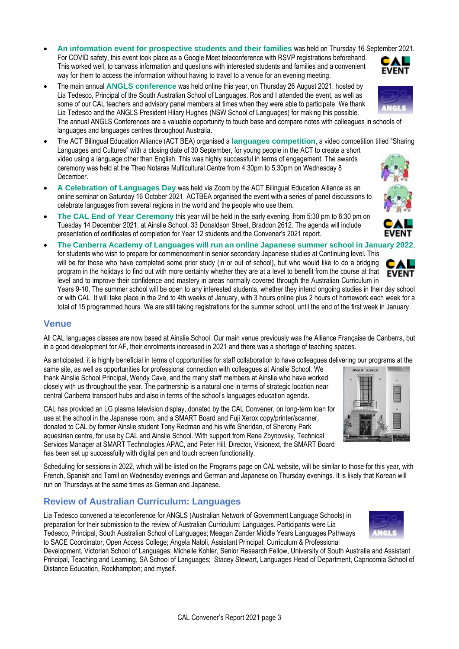- **An information event for prospective students and their families** was held on Thursday 16 September 2021. For COVID safety, this event took place as a Google Meet teleconference with RSVP registrations beforehand. CAL This worked well, to canvass information and questions with interested students and families and a convenient **EVENT** way for them to access the information without having to travel to a venue for an evening meeting.
- The main annual **ANGLS conference** was held online this year, on Thursday 26 August 2021, hosted by Lia Tedesco, Principal of the South Australian School of Languages. Ros and I attended the event, as well as some of our CAL teachers and advisory panel members at times when they were able to participate. We thank Lia Tedesco and the ANGLS President Hilary Hughes (NSW School of Languages) for making this possible. The annual ANGLS Conferences are a valuable opportunity to touch base and compare notes with colleagues in schools of languages and languages centres throughout Australia.
- The ACT Bilingual Education Alliance (ACT BEA) organised a **languages competition**, a video competition titled "Sharing Languages and Cultures" with a closing date of 30 September, for young people in the ACT to create a short video using a language other than English. This was highly successful in terms of engagement. The awards ceremony was held at the Theo Notaras Multicultural Centre from 4.30pm to 5.30pm on Wednesday 8 December.
- **A Celebration of Languages Day** was held via Zoom by the ACT Bilingual Education Alliance as an online seminar on Saturday 16 October 2021. ACTBEA organised the event with a series of panel discussions to celebrate languages from several regions in the world and the people who use them.
- **The CAL End of Year Ceremony this year will be held in the early evening, from 5:30 pm to 6:30 pm on** Tuesday 14 December 2021, at Ainslie School, 33 Donaldson Street, Braddon 2612. The agenda will include presentation of certificates of completion for Year 12 students and the Convener's 2021 report.
- **The Canberra Academy of Languages will run an online Japanese summer school in January 2022**, for students who wish to prepare for commencement in senior secondary Japanese studies at Continuing level. This will be for those who have completed some prior study (in or out of school), but who would like to do a bridging program in the holidays to find out with more certainty whether they are at a level to benefit from the course at that **EVENT** level and to improve their confidence and mastery in areas normally covered through the Australian Curriculum in Years 9-10. The summer school will be open to any interested students, whether they intend ongoing studies in their day school

or with CAL. It will take place in the 2nd to 4th weeks of January, with 3 hours online plus 2 hours of homework each week for a total of 15 programmed hours. We are still taking registrations for the summer school, until the end of the first week in January.

#### **Venue**

All CAL languages classes are now based at Ainslie School. Our main venue previously was the Alliance Française de Canberra, but in a good development for AF, their enrolments increased in 2021 and there was a shortage of teaching spaces.

As anticipated, it is highly beneficial in terms of opportunities for staff collaboration to have colleagues delivering our programs at the

same site, as well as opportunities for professional connection with colleagues at Ainslie School. We thank Ainslie School Principal, Wendy Cave, and the many staff members at Ainslie who have worked closely with us throughout the year. The partnership is a natural one in terms of strategic location near central Canberra transport hubs and also in terms of the school's languages education agenda.

CAL has provided an LG plasma television display, donated by the CAL Convener, on long-term loan for use at the school in the Japanese room, and a SMART Board and Fuji Xerox copy/printer/scanner, donated to CAL by former Ainslie student Tony Redman and his wife Sheridan, of Sherony Park equestrian centre, for use by CAL and Ainslie School. With support from Rene Zbynovsky, Technical Services Manager at SMART Technologies APAC, and Peter Hill, Director, Visionext, the SMART Board has been set up successfully with digital pen and touch screen functionality.

Scheduling for sessions in 2022, which will be listed on the Programs page on CAL website, will be similar to those for this year, with French, Spanish and Tamil on Wednesday evenings and German and Japanese on Thursday evenings. It is likely that Korean will run on Thursdays at the same times as German and Japanese.

### **Review of Australian Curriculum: Languages**

Lia Tedesco convened a teleconference for ANGLS (Australian Network of Government Language Schools) in preparation for their submission to the review of Australian Curriculum: Languages. Participants were Lia Tedesco, Principal, South Australian School of Languages; Meagan Zander Middle Years Languages Pathways to SACE Coordinator, Open Access College; Angela Natoli, Assistant Principal: Curriculum & Professional

Development, Victorian School of Languages; Michelle Kohler, Senior Research Fellow, University of South Australia and Assistant Principal, Teaching and Learning, SA School of Languages; Stacey Stewart, Languages Head of Department, Capricornia School of Distance Education, Rockhampton; and myself.